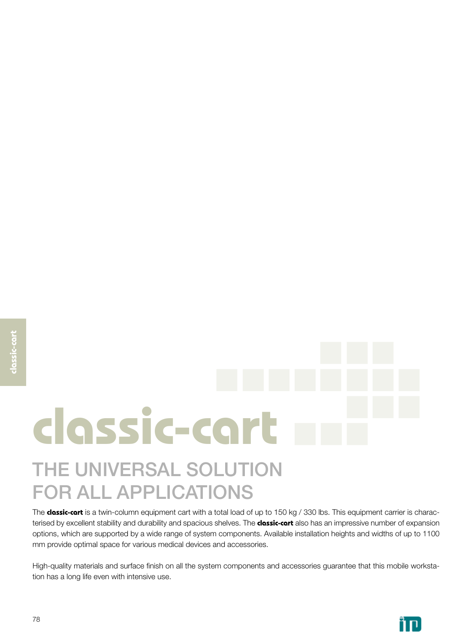# **classic-cart** THE UNIVERSAL SOLUTION FOR ALL APPLICATIONS

The **classic-cart** is a twin-column equipment cart with a total load of up to 150 kg / 330 lbs. This equipment carrier is characterised by excellent stability and durability and spacious shelves. The **classic-cart** also has an impressive number of expansion options, which are supported by a wide range of system components. Available installation heights and widths of up to 1100 mm provide optimal space for various medical devices and accessories.

High-quality materials and surface finish on all the system components and accessories guarantee that this mobile workstation has a long life even with intensive use.

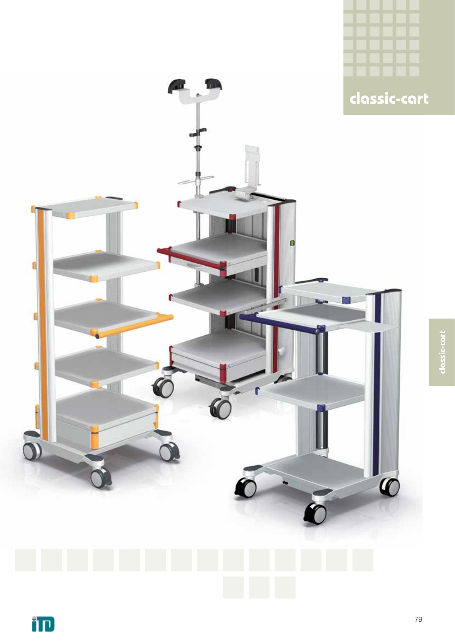

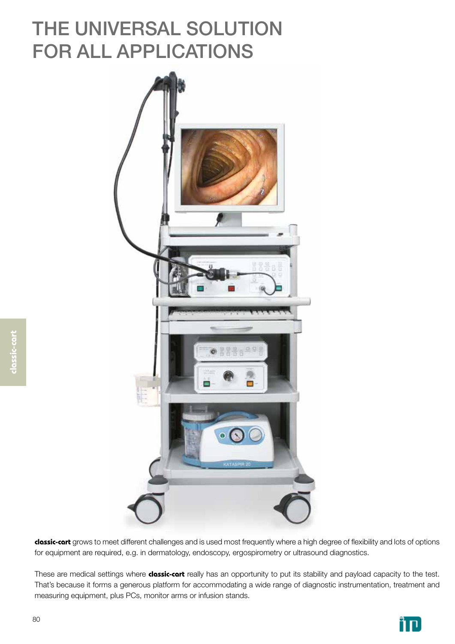## THE UNIVERSAL SOLUTION FOR ALL APPLICATIONS



**classic-cart** grows to meet different challenges and is used most frequently where a high degree of flexibility and lots of options for equipment are required, e.g. in dermatology, endoscopy, ergospirometry or ultrasound diagnostics.

These are medical settings where **classic-cart** really has an opportunity to put its stability and payload capacity to the test. That's because it forms a generous platform for accommodating a wide range of diagnostic instrumentation, treatment and measuring equipment, plus PCs, monitor arms or infusion stands.

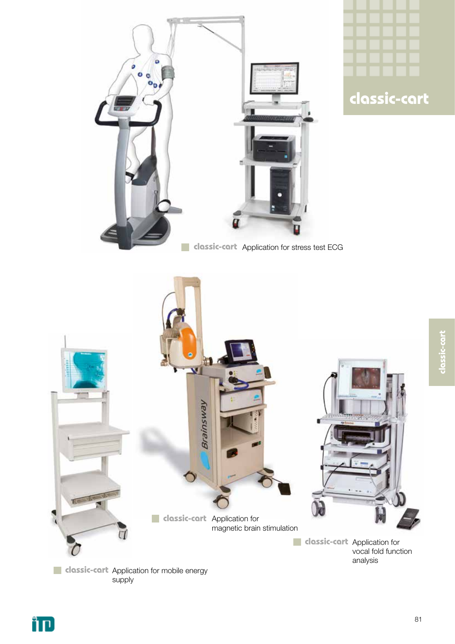



classic-cart **classic-cart**



**classic-cart** Application for mobile energy supply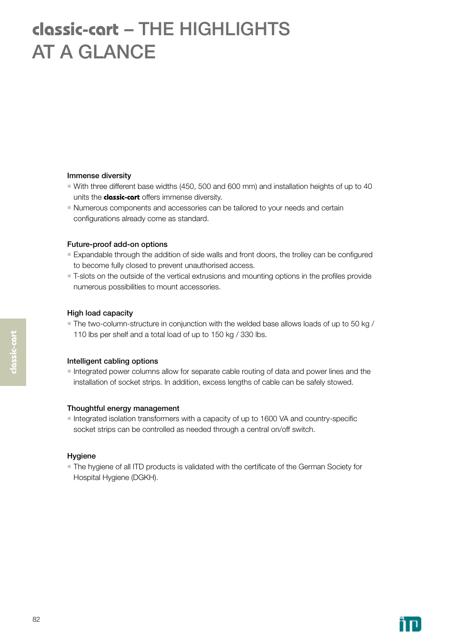## **classic-cart** – THE HIGHLIGHTS AT A GLANCE

### Immense diversity

- With three different base widths (450, 500 and 600 mm) and installation heights of up to 40 units the **classic-cart** offers immense diversity.
- Numerous components and accessories can be tailored to your needs and certain configurations already come as standard.

### Future-proof add-on options

- **Expandable through the addition of side walls and front doors, the trolley can be configured** to become fully closed to prevent unauthorised access.
- **T-slots on the outside of the vertical extrusions and mounting options in the profiles provide** numerous possibilities to mount accessories.

### High load capacity

 The two-column-structure in conjunction with the welded base allows loads of up to 50 kg / 110 lbs per shelf and a total load of up to 150 kg / 330 lbs.

### Intelligent cabling options

Integrated power columns allow for separate cable routing of data and power lines and the installation of socket strips. In addition, excess lengths of cable can be safely stowed.

### Thoughtful energy management

Integrated isolation transformers with a capacity of up to 1600 VA and country-specific socket strips can be controlled as needed through a central on/off switch.

### Hygiene

 The hygiene of all ITD products is validated with the certificate of the German Society for Hospital Hygiene (DGKH).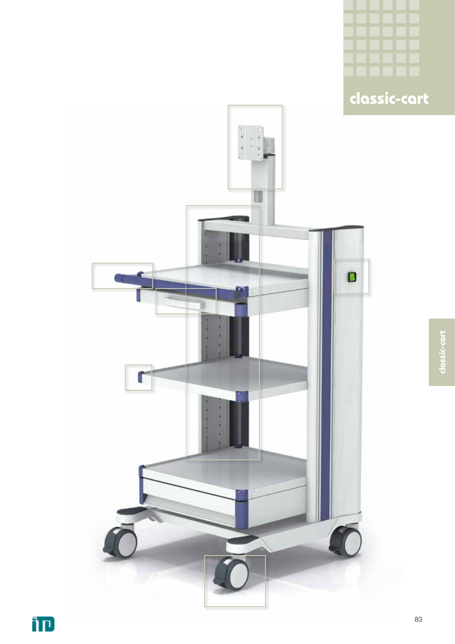

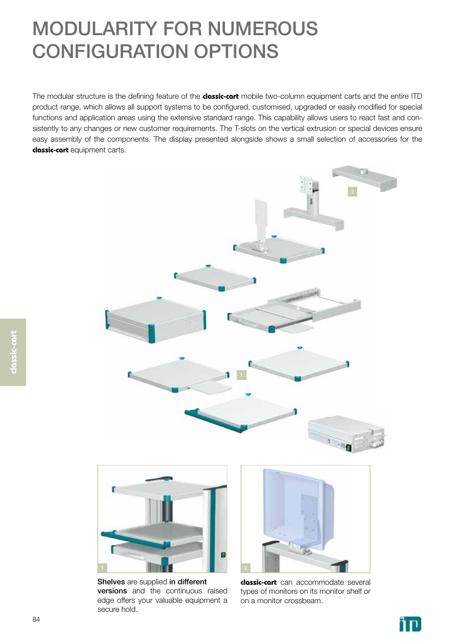## MODULARITY FOR NUMEROUS CONFIGURATION OPTIONS

The modular structure is the defining feature of the **classic-cart** mobile two-column equipment carts and the entire ITD product range, which allows all support systems to be configured, customised, upgraded or easily modified for special functions and application areas using the extensive standard range. This capability allows users to react fast and consistently to any changes or new customer requirements. The T-slots on the vertical extrusion or special devices ensure easy assembly of the components. The display presented alongside shows a small selection of accessories for the **classic-cart** equipment carts.





Shelves are supplied in different versions and the continuous raised edge offers your valuable equipment a secure hold.



**classic-cart** can accommodate several types of monitors on its monitor shelf or on a monitor crossbeam.

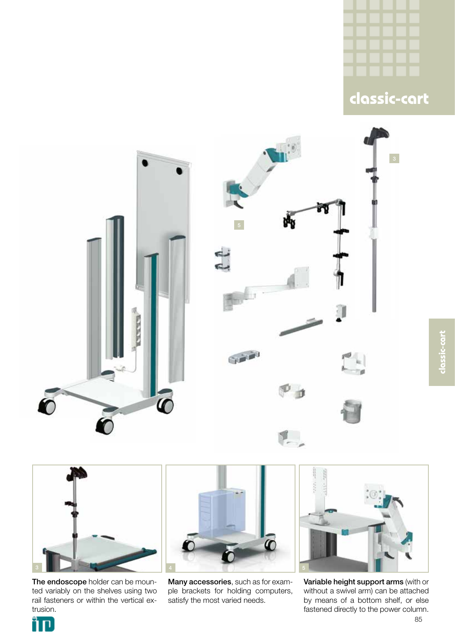







The endoscope holder can be mounted variably on the shelves using two rail fasteners or within the vertical extrusion.



Many accessories, such as for example brackets for holding computers, satisfy the most varied needs.



Variable height support arms (with or without a swivel arm) can be attached by means of a bottom shelf, or else fastened directly to the power column.

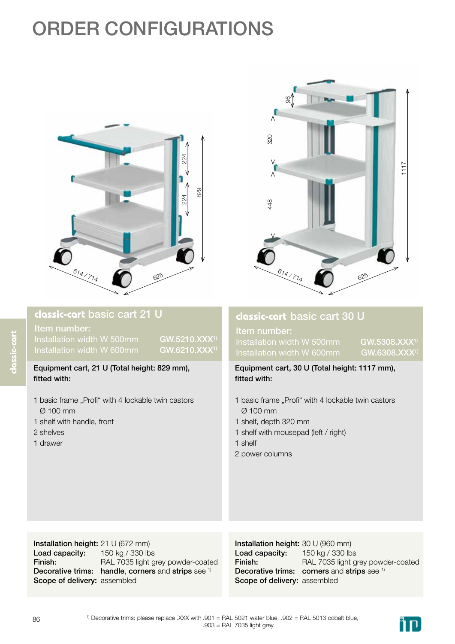## ORDER CONFIGURATIONS



ìп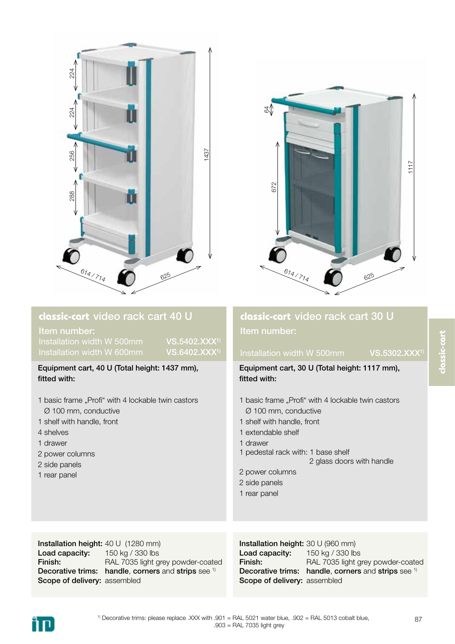



Item number: Installation width W 500mm VS.5402.XXX1) Installation width W 600mm VS.6402.XXX<sup>1</sup>

Equipment cart, 40 U (Total height: 1437 mm), fitted with:

- 1 basic frame "Profi" with 4 lockable twin castors Ø 100 mm, conductive
- 1 shelf with handle, front
- 4 shelves
- 1 drawer
- 2 power columns
- 2 side panels
- 1 rear panel

### Installation height: 40 U (1280 mm) Load capacity: Finish: Decorative trims: handle, corners and strips see 1) Scope of delivery: assembled 150 kg / 330 lbs RAL 7035 light grey powder-coated

### Installation height: 30 U (960 mm) Load capacity: Finish: Decorative trims: handle, corners and strips see 1) Scope of delivery: assembled 150 kg / 330 lbs RAL 7035 light grey powder-coated



## **classic-cart** video rack cart 30 U Item number:

## Installation width W 500mm VS.5302.XXX<sup>1</sup>

Equipment cart, 30 U (Total height: 1117 mm), fitted with:

- 1 basic frame "Profi" with 4 lockable twin castors Ø 100 mm, conductive
- 1 shelf with handle, front
- 1 extendable shelf
- 1 drawer
- 1 pedestal rack with: 1 base shelf
	- 2 glass doors with handle
- 2 power columns
- 2 side panels
- 1 rear panel

 $1)$  Decorative trims: please replace .XXX with .901 = RAL 5021 water blue, .902 = RAL 5013 cobalt blue, .903 = RAL 7035 light grey

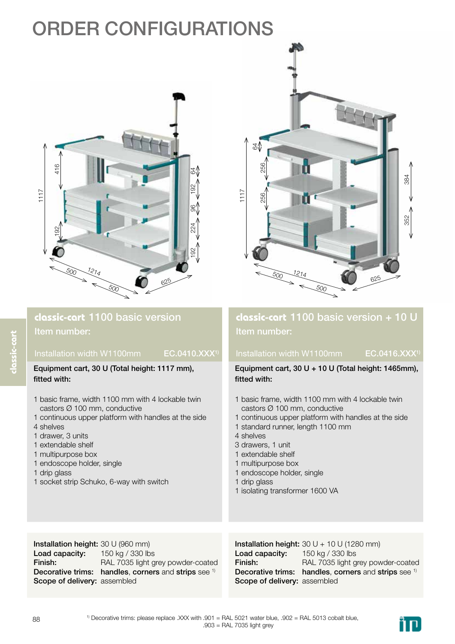## ORDER CONFIGURATIONS



Installation width W1100mm EC.0410.XXX1)



## **classic-cart** 1100 basic version + 10 U Item number:

## Installation width W1100mm EC.0416.XXX1)

Equipment cart, 30 U + 10 U (Total height: 1465mm),

Equipment cart, 30 U (Total height: 1117 mm), fitted with: 1 basic frame, width 1100 mm with 4 lockable twin castors Ø 100 mm, conductive 1 continuous upper platform with handles at the side 4 shelves 1 drawer, 3 units 1 extendable shelf 1 multipurpose box 1 endoscope holder, single 1 drip glass 1 socket strip Schuko, 6-way with switch fitted with: 1 basic frame, width 1100 mm with 4 lockable twin castors Ø 100 mm, conductive 1 continuous upper platform with handles at the side 1 standard runner, length 1100 mm 4 shelves 3 drawers, 1 unit 1 extendable shelf 1 multipurpose box 1 endoscope holder, single 1 drip glass 1 isolating transformer 1600 VA

Installation height: 30 U (960 mm) Load capacity: Finish: Decorative trims: handles, corners and strips see 1) Scope of delivery: assembled 150 kg / 330 lbs RAL 7035 light grey powder-coated

### Installation height:  $30 U + 10 U (1280 mm)$ Load capacity: Finish: Decorative trims: handles, corners and strips see 1) Scope of delivery: assembled 150 kg / 330 lbs RAL 7035 light grey powder-coated

1) Decorative trims: please replace .XXX with .901 = RAL 5021 water blue, .902 = RAL 5013 cobalt blue, .903 = RAL 7035 light grey



**classic-cart**

Item number: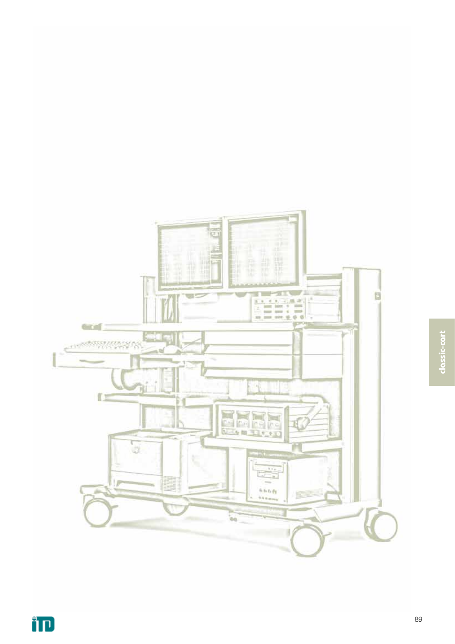

靑

₩ lt.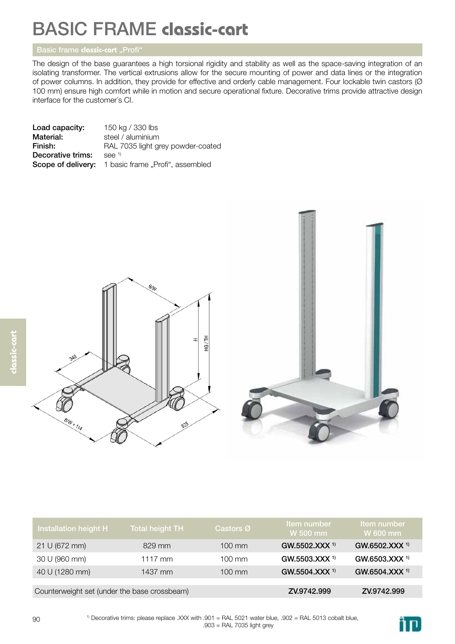The design of the base guarantees a high torsional rigidity and stability as well as the space-saving integration of an isolating transformer. The vertical extrusions allow for the secure mounting of power and data lines or the integration of power columns. In addition, they provide for effective and orderly cable management. Four lockable twin castors (Ø 100 mm) ensure high comfort while in motion and secure operational fixture. Decorative trims provide attractive design interface for the customer´s CI.

| Load capacity:    | 150 kg / 330 lbs                                           |
|-------------------|------------------------------------------------------------|
| Material:         | steel / aluminium                                          |
| Finish:           | RAL 7035 light grey powder-coated                          |
| Decorative trims: | $See$ <sup>1)</sup>                                        |
|                   | <b>Scope of delivery:</b> 1 basic frame "Profi", assembled |
|                   |                                                            |





| Installation height H                        | <b>Total height TH</b> | Castors Ø        | Item number<br>W 500 mm   | Item number<br>W 600 mm   |
|----------------------------------------------|------------------------|------------------|---------------------------|---------------------------|
| 21 U (672 mm)                                | 829 mm                 | $100 \text{ mm}$ | GW.5502.XXX <sup>1)</sup> | GW.6502.XXX <sup>1)</sup> |
| 30 U (960 mm)                                | $1117$ mm              | $100 \text{ mm}$ | GW.5503.XXX <sup>1)</sup> | GW.6503.XXX <sup>1)</sup> |
| 40 U (1280 mm)                               | 1437 mm                | $100 \text{ mm}$ | GW.5504.XXX <sup>1)</sup> | GW.6504.XXX <sup>1)</sup> |
|                                              |                        |                  |                           |                           |
| Counterweight set (under the base crossbeam) |                        |                  | ZV.9742.999               | ZV.9742.999               |

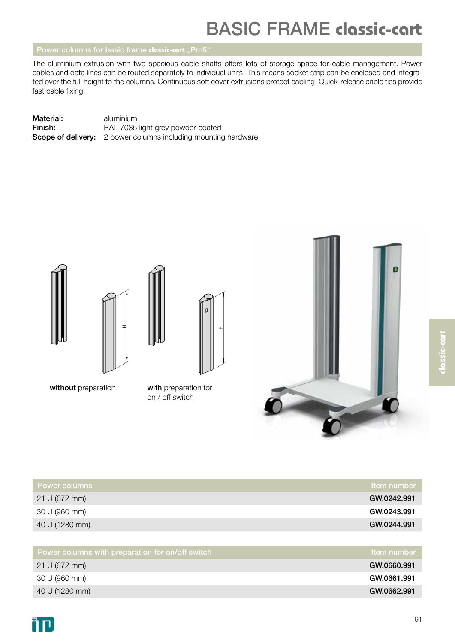The aluminium extrusion with two spacious cable shafts offers lots of storage space for cable management. Power cables and data lines can be routed separately to individual units. This means socket strip can be enclosed and integrated over the full height to the columns. Continuous soft cover extrusions protect cabling. Quick-release cable ties provide fast cable fixing.

| Material: | aluminium                                                             |
|-----------|-----------------------------------------------------------------------|
| Finish:   | RAL 7035 light grey powder-coated                                     |
|           | <b>Scope of delivery:</b> 2 power columns including mounting hardware |







without preparation

with preparation for on / off switch



| <b>Power columns</b> | <b>Item</b> number |
|----------------------|--------------------|
| 21 U (672 mm)        | GW.0242.991        |
| 30 U (960 mm)        | GW.0243.991        |
| 40 U (1280 mm)       | GW.0244.991        |
|                      |                    |

| $\overline{1}$ Power columns with preparation for on/off switch $\overline{1}$ | ltem number |
|--------------------------------------------------------------------------------|-------------|
| 21 U (672 mm)                                                                  | GW.0660.991 |
| 30 U (960 mm)                                                                  | GW.0661.991 |
| 40 U (1280 mm)                                                                 | GW.0662.991 |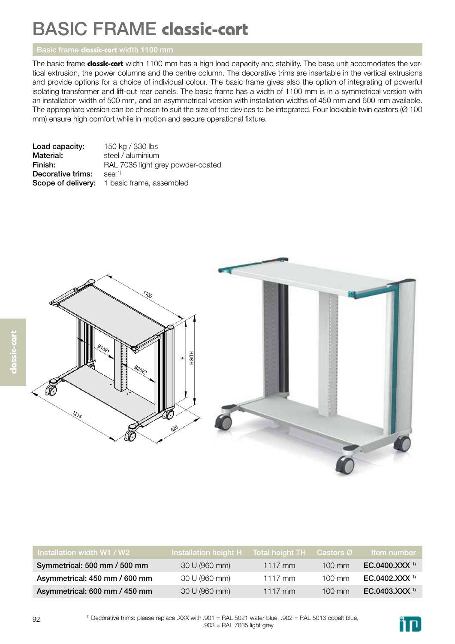The basic frame **classic-cart** width 1100 mm has a high load capacity and stability. The base unit accomodates the vertical extrusion, the power columns and the centre column. The decorative trims are insertable in the vertical extrusions and provide options for a choice of individual colour. The basic frame gives also the option of integrating of powerful isolating transformer and lift-out rear panels. The basic frame has a width of 1100 mm is in a symmetrical version with an installation width of 500 mm, and an asymmetrical version with installation widths of 450 mm and 600 mm available. The appropriate version can be chosen to suit the size of the devices to be integrated. Four lockable twin castors (Ø 100 mm) ensure high comfort while in motion and secure operational fixture.

| Load capacity:    | 150 kg / 330 lbs                            |
|-------------------|---------------------------------------------|
| Material:         | steel / aluminium                           |
| Finish:           | RAL 7035 light grey powder-coated           |
| Decorative trims: | $See$ <sup>1)</sup>                         |
|                   | Scope of delivery: 1 basic frame, assembled |



| Installation width W1 / W2    | Installation height H Total height TH |           | Castors Ø        | <b>Item</b> number        |
|-------------------------------|---------------------------------------|-----------|------------------|---------------------------|
| Symmetrical: 500 mm / 500 mm  | 30 U (960 mm)                         | $1117$ mm | $100 \text{ mm}$ | EC.0400.XXX <sup>1)</sup> |
| Asymmetrical: 450 mm / 600 mm | 30 U (960 mm)                         | $1117$ mm | $100 \text{ mm}$ | EC.0402.XXX <sup>1)</sup> |
| Asymmetrical: 600 mm / 450 mm | 30 U (960 mm)                         | $1117$ mm | $100 \text{ mm}$ | EC.0403.XXX <sup>1)</sup> |

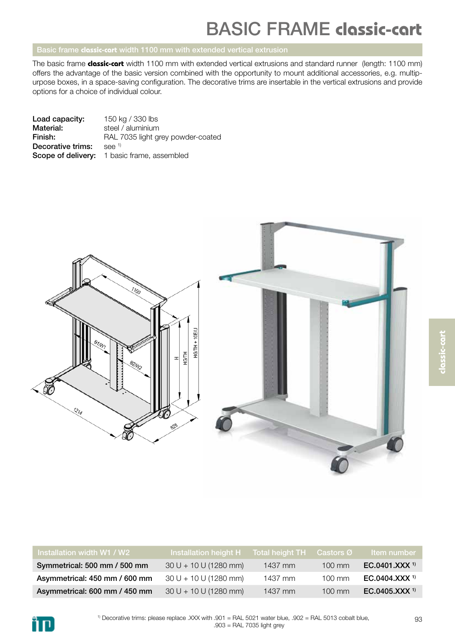The basic frame **classic-cart** width 1100 mm with extended vertical extrusions and standard runner (length: 1100 mm) offers the advantage of the basic version combined with the opportunity to mount additional accessories, e.g. multipurpose boxes, in a space-saving configuration. The decorative trims are insertable in the vertical extrusions and provide options for a choice of individual colour.

| Load capacity:    | 150 kg / 330 lbs                                   |
|-------------------|----------------------------------------------------|
| Material:         | steel / aluminium                                  |
| Finish:           | RAL 7035 light grey powder-coated                  |
| Decorative trims: | $See$ <sup>1)</sup>                                |
|                   | <b>Scope of delivery:</b> 1 basic frame, assembled |



| Installation width W1 / W2    | lnstallation height H Total height TH |           | Castors Ø        | <b>Item number</b>        |
|-------------------------------|---------------------------------------|-----------|------------------|---------------------------|
| Symmetrical: 500 mm / 500 mm  | $30 U + 10 U (1280 mm)$               | $1437$ mm | $100 \text{ mm}$ | EC.0401.XXX <sup>1)</sup> |
| Asymmetrical: 450 mm / 600 mm | $30 U + 10 U (1280 mm)$               | 1437 mm   | $100 \text{ mm}$ | EC.0404.XXX <sup>1)</sup> |
| Asymmetrical: 600 mm / 450 mm | $30 U + 10 U (1280 mm)$               | 1437 mm   | $100$ mm         | EC.0405.XXX <sup>1)</sup> |

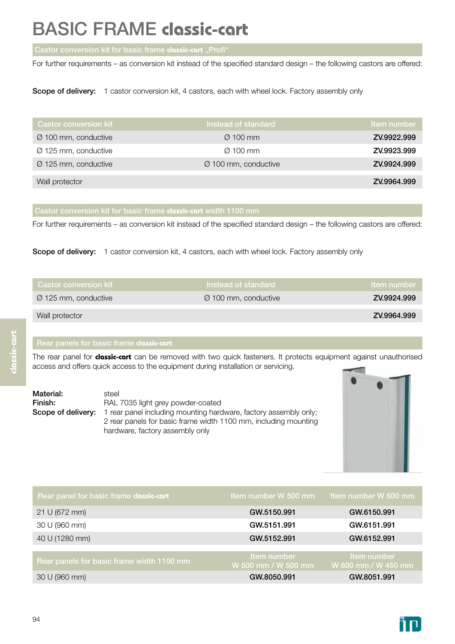For further requirements – as conversion kit instead of the specified standard design – the following castors are offered:

Scope of delivery: 1 castor conversion kit, 4 castors, each with wheel lock. Factory assembly only

| <b>Castor conversion kit</b>     | Instead of standard              | Item number |
|----------------------------------|----------------------------------|-------------|
| $\varnothing$ 100 mm, conductive | $\varnothing$ 100 mm             | ZV.9922.999 |
| $\varnothing$ 125 mm, conductive | $\varnothing$ 100 mm             | ZV.9923.999 |
| $\varnothing$ 125 mm, conductive | $\varnothing$ 100 mm, conductive | ZV.9924.999 |
| Wall protector                   |                                  | ZV.9964.999 |

For further requirements – as conversion kit instead of the specified standard design – the following castors are offered:

Scope of delivery: 1 castor conversion kit, 4 castors, each with wheel lock. Factory assembly only

| <b>Castor conversion kit</b>     | Instead of standard              | <b>Item number</b> |
|----------------------------------|----------------------------------|--------------------|
| $\varnothing$ 125 mm, conductive | $\varnothing$ 100 mm, conductive | ZV.9924.999        |
| Wall protector                   |                                  | ZV.9964.999        |

The rear panel for **classic-cart** can be removed with two quick fasteners. It protects equipment against unauthorised access and offers quick access to the equipment during installation or servicing.

| Material: | steel                                                                                      |
|-----------|--------------------------------------------------------------------------------------------|
| Finish:   | RAL 7035 light grey powder-coated                                                          |
|           | <b>Scope of delivery:</b> 1 rear panel including mounting hardware, factory assembly only; |
|           | 2 rear panels for basic frame width 1100 mm, including mounting                            |
|           | hardware, factory assembly only                                                            |



| Rear panel for basic frame classic-cart   | Item number W 500 mm               | Item number W 600 mm               |
|-------------------------------------------|------------------------------------|------------------------------------|
| 21 U (672 mm)                             | GW.5150.991                        | GW.6150.991                        |
| 30 U (960 mm)                             | GW.5151.991                        | GW.6151.991                        |
| 40 U (1280 mm)                            | GW.5152.991                        | GW.6152,991                        |
|                                           |                                    |                                    |
| Rear panels for basic frame width 1100 mm | Item number<br>W 500 mm / W 500 mm | Item number<br>W 600 mm / W 450 mm |
| 30 U (960 mm)                             | GW.8050.991                        | GW.8051.991                        |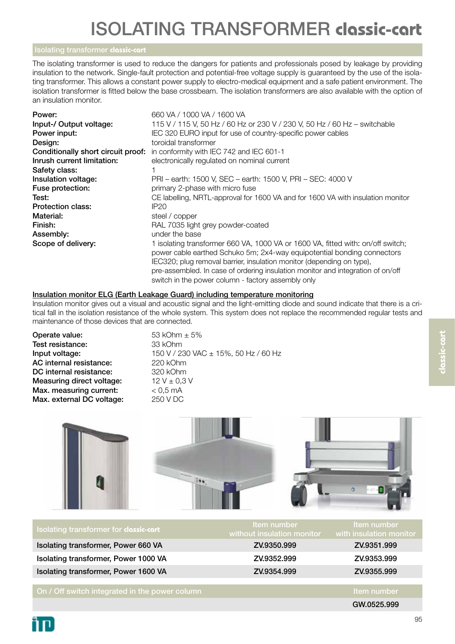The isolating transformer is used to reduce the dangers for patients and professionals posed by leakage by providing insulation to the network. Single-fault protection and potential-free voltage supply is guaranteed by the use of the isolating transformer. This allows a constant power supply to electro-medical equipment and a safe patient environment. The isolation transformer is fitted below the base crossbeam. The isolation transformers are also available with the option of an insulation monitor.

| Power:                             | 660 VA / 1000 VA / 1600 VA                                                                                                                                 |
|------------------------------------|------------------------------------------------------------------------------------------------------------------------------------------------------------|
| Input-/ Output voltage:            | 115 V / 115 V, 50 Hz / 60 Hz or 230 V / 230 V, 50 Hz / 60 Hz - switchable                                                                                  |
| Power input:                       | IEC 320 EURO input for use of country-specific power cables                                                                                                |
| Design:                            | toroidal transformer                                                                                                                                       |
| Conditionally short circuit proof: | in conformity with IEC 742 and IEC 601-1                                                                                                                   |
| Inrush current limitation:         | electronically regulated on nominal current                                                                                                                |
| Safety class:                      |                                                                                                                                                            |
| Insulation voltage:                | PRI - earth: 1500 V, SEC - earth: 1500 V, PRI - SEC: 4000 V                                                                                                |
| Fuse protection:                   | primary 2-phase with micro fuse                                                                                                                            |
| Test:                              | CE labelling, NRTL-approval for 1600 VA and for 1600 VA with insulation monitor                                                                            |
| <b>Protection class:</b>           | IP20                                                                                                                                                       |
| Material:                          | steel / copper                                                                                                                                             |
| Finish:                            | RAL 7035 light grey powder-coated                                                                                                                          |
| Assembly:                          | under the base                                                                                                                                             |
| Scope of delivery:                 | 1 isolating transformer 660 VA, 1000 VA or 1600 VA, fitted with: on/off switch;<br>power cable earthed Schuko 5m; 2x4-way equipotential bonding connectors |
|                                    | IEC320; plug removal barrier, insulation monitor (depending on type),                                                                                      |
|                                    | pre-assembled. In case of ordering insulation monitor and integration of on/off                                                                            |
|                                    | switch in the power column - factory assembly only                                                                                                         |

## Insulation monitor ELG (Earth Leakage Guard) including temperature monitoring

Insulation monitor gives out a visual and acoustic signal and the light-emitting diode and sound indicate that there is a critical fall in the isolation resistance of the whole system. This system does not replace the recommended regular tests and maintenance of those devices that are connected.

| Operate value:            |
|---------------------------|
| Test resistance:          |
| Input voltage:            |
| AC internal resistance:   |
| DC internal resistance:   |
| Measuring direct voltage: |
| Max. measuring current:   |
| Max. external DC voltage: |

 $53$  kOhm  $\pm$  5% 33 kOhm 150 V / 230 VAC ± 15%, 50 Hz / 60 Hz 220 kOhm 320 kOhm 12 V  $\pm$  0,3 V  $< 0.5$  mA 250 V DC



| Isolating transformer for classic-cart         | Item number<br>without insulation monitor | Item number<br>with insulation monitor |
|------------------------------------------------|-------------------------------------------|----------------------------------------|
| Isolating transformer, Power 660 VA            | ZV.9350.999                               | ZV.9351.999                            |
| Isolating transformer, Power 1000 VA           | ZV.9352.999                               | ZV.9353.999                            |
| Isolating transformer, Power 1600 VA           | ZV.9354.999                               | ZV.9355.999                            |
|                                                |                                           |                                        |
| On / Off switch integrated in the power column |                                           | Item number                            |
|                                                |                                           | GW.0525.999                            |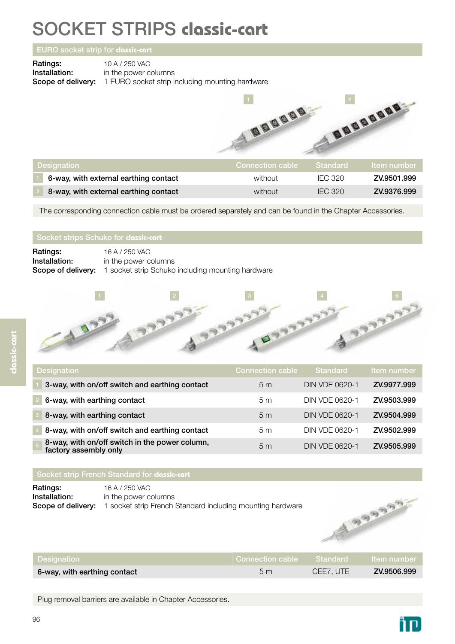## SOCKET STRIPS **classic-cart**

### EURO socket strip for **classic-cart**

**Ratings:** 10 A / 250 VAC<br> **Installation:** in the power c

in the power columns Scope of delivery: 1 EURO socket strip including mounting hardware



| Designation                           |         |                | <b>Item number</b> |
|---------------------------------------|---------|----------------|--------------------|
| 6-way, with external earthing contact | without | IFC 320        | ZV.9501.999        |
| 8-way, with external earthing contact | without | <b>IEC 320</b> | ZV.9376.999        |

The corresponding connection cable must be ordered separately and can be found in the Chapter Accessories.

| Ratings:      | 16 A / 250 VAC                                                              |
|---------------|-----------------------------------------------------------------------------|
| Installation: | in the power columns                                                        |
|               | <b>Scope of delivery:</b> 1 socket strip Schuko including mounting hardware |

| <b>Designation</b>                                                      | <b>Connection cable</b> | <b>Standard</b>       | Item number |
|-------------------------------------------------------------------------|-------------------------|-----------------------|-------------|
| 3-way, with on/off switch and earthing contact                          | 5 <sub>m</sub>          | <b>DIN VDE 0620-1</b> | ZV.9977.999 |
| 6-way, with earthing contact                                            | 5 <sub>m</sub>          | DIN VDE 0620-1        | ZV.9503.999 |
| 8-way, with earthing contact                                            | 5 <sub>m</sub>          | <b>DIN VDE 0620-1</b> | ZV.9504.999 |
| 8-way, with on/off switch and earthing contact                          | 5 <sub>m</sub>          | DIN VDE 0620-1        | ZV.9502.999 |
| 8-way, with on/off switch in the power column,<br>factory assembly only | 5 <sub>m</sub>          | <b>DIN VDE 0620-1</b> | ZV.9505.999 |

### Socket strip French Standard for **classic-cart**

**Ratings:** 16 A / 250 VAC **Installation:** in the power columns Scope of delivery: 1 socket strip French Standard including mounting hardware



| Designation                  | Connection cable Standard Item number |           |             |
|------------------------------|---------------------------------------|-----------|-------------|
| 6-way, with earthing contact | 5m                                    | CEE7. UTE | ZV.9506.999 |

Plug removal barriers are available in Chapter Accessories.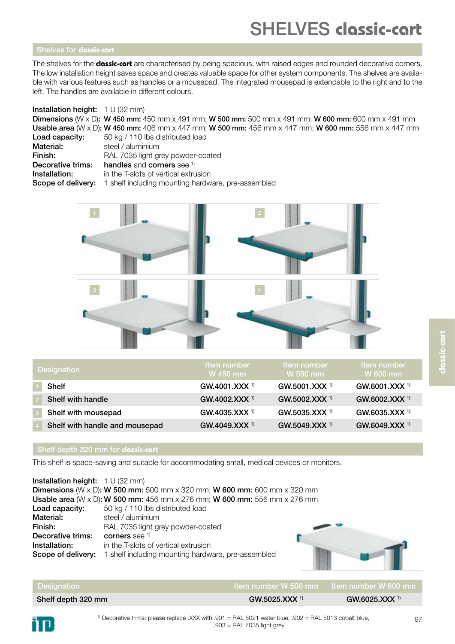### Shelves for **classic-cart**

The shelves for the **classic-cart** are characterised by being spacious, with raised edges and rounded decorative corners. The low installation height saves space and creates valuable space for other system components. The shelves are available with various features such as handles or a mousepad. The integrated mousepad is extendable to the right and to the left. The handles are available in different colours.

### Installation height: 1 U (32 mm)

Dimensions (W x D): W 450 mm: 450 mm x 491 mm; W 500 mm: 500 mm x 491 mm; W 600 mm: 600 mm x 491 mm Usable area (W x D): W 450 mm: 406 mm x 447 mm; W 500 mm: 456 mm x 447 mm; W 600 mm: 556 mm x 447 mm

| Load capacity:    | 50 kg / 110 lbs distributed load                                             |
|-------------------|------------------------------------------------------------------------------|
| Material:         | steel / aluminium                                                            |
| Finish:           | RAL 7035 light grey powder-coated                                            |
| Decorative trims: | handles and corners see 1)                                                   |
| Installation:     | in the T-slots of vertical extrusion                                         |
|                   | <b>Scope of delivery:</b> 1 shelf including mounting hardware, pre-assembled |



| <b>Designation</b>             | Item number<br>W 450 mm     | Item number<br>W 500 mm     | Item number<br>W 600 mm     |
|--------------------------------|-----------------------------|-----------------------------|-----------------------------|
| <b>Shelf</b>                   | GW.4001.XXX <sup>1)</sup>   | $GW.5001.XXX$ <sup>1)</sup> | $GW.6001.XXX$ <sup>1)</sup> |
| Shelf with handle              | $GW.4002.XXX$ <sup>1)</sup> | $GW.5002.XXX$ <sup>1)</sup> | $GW.6002.XXX$ <sup>1)</sup> |
| Shelf with mousepad            | GW.4035.XXX <sup>1)</sup>   | $GW.5035.XXX$ <sup>1)</sup> | $GW.6035.XXX$ <sup>1)</sup> |
| Shelf with handle and mousepad | $GW.4049.XXX$ <sup>1)</sup> | $GW.5049.XXX$ <sup>1)</sup> | $GW.6049.XXX$ <sup>1)</sup> |

### Shelf depth 320 mm for **classic-cart**

This shelf is space-saving and suitable for accommodating small, medical devices or monitors.

Installation height: 1 U (32 mm) Dimensions (W x D): W 500 mm: 500 mm x 320 mm; W 600 mm: 600 mm x 320 mm Usable area (W x D): W 500 mm: 456 mm x 276 mm; W 600 mm: 556 mm x 276 mm Load capacity: 50 kg / 110 lbs distributed load Material: steel / aluminium Finish: RAL 7035 light grey powder-coated Decorative trims: corners see <sup>1)</sup> **Installation:** in the T-slots of vertical extrusion Scope of delivery: 1 shelf including mounting hardware, pre-assembled

| <b>Designation</b> |                             | $\,$ Item number W 500 mm $\,$ Item number W 600 mm $\,$ |
|--------------------|-----------------------------|----------------------------------------------------------|
| Shelf depth 320 mm | $GW.5025.XXX$ <sup>1)</sup> | GW.6025. XXX <sup>1</sup>                                |

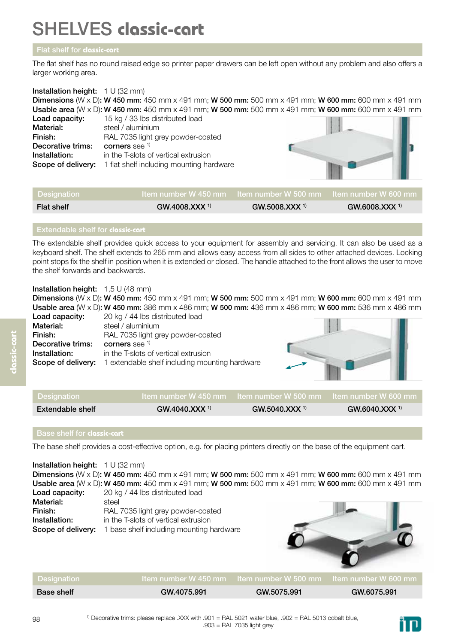## SHELVES **classic-cart**

## Flat shelf for **classic-cart**

The flat shelf has no round raised edge so printer paper drawers can be left open without any problem and also offers a larger working area.

## Installation height: 1 U (32 mm) Dimensions (W x D): W 450 mm: 450 mm x 491 mm; W 500 mm: 500 mm x 491 mm; W 600 mm: 600 mm x 491 mm Usable area (W x D): W 450 mm: 450 mm x 491 mm; W 500 mm: 500 mm x 491 mm; W 600 mm: 600 mm x 491 mm Load capacity: 15 kg / 33 lbs distributed load Material: steel / aluminium Finish: RAL 7035 light grey powder-coated **Decorative trims:** corners see  $\frac{1}{1}$ <br>**Installation:** in the T-slots of in the T-slots of vertical extrusion Scope of delivery: 1 flat shelf including mounting hardware

| Designation       |                             | ∣Item number W 450 mm ⊥Item number W 500 mm ⊥Item number W 600 mm ⊥ |                 |
|-------------------|-----------------------------|---------------------------------------------------------------------|-----------------|
| <b>Flat shelf</b> | $GW.4008.XXX$ <sup>1)</sup> | $GW.5008.XXX$ <sup>1)</sup>                                         | GW.6008. XXX 1) |

## Extendable shelf for **classic-cart**

The extendable shelf provides quick access to your equipment for assembly and servicing. It can also be used as a keyboard shelf. The shelf extends to 265 mm and allows easy access from all sides to other attached devices. Locking point stops fix the shelf in position when it is extended or closed. The handle attached to the front allows the user to move the shelf forwards and backwards.

## Installation height: 1,5 U (48 mm)

Dimensions (W x D): W 450 mm: 450 mm x 491 mm; W 500 mm: 500 mm x 491 mm; W 600 mm: 600 mm x 491 mm Usable area (W x D): W 450 mm: 386 mm x 486 mm; W 500 mm: 436 mm x 486 mm; W 600 mm: 536 mm x 486 mm

| Load capacity:     | 20 kg / 44 lbs distributed load                |  |
|--------------------|------------------------------------------------|--|
| Material:          | steel / aluminium                              |  |
| Finish:            | RAL 7035 light grey powder-coated              |  |
| Decorative trims:  | corners see $1$                                |  |
| Installation:      | in the T-slots of vertical extrusion           |  |
| Scope of delivery: | 1 extendable shelf including mounting hardware |  |

| Designation      |                   |                             |                             |
|------------------|-------------------|-----------------------------|-----------------------------|
| Extendable shelf | $GW.4040.XXX^{1}$ | $GW.5040.XXX$ <sup>1)</sup> | $GW.6040.XXX$ <sup>1)</sup> |
|                  |                   |                             |                             |

The base shelf provides a cost-effective option, e.g. for placing printers directly on the base of the equipment cart.

**Installation height:**  $1 \cup (32 \text{ mm})$ Dimensions (W x D): W 450 mm: 450 mm x 491 mm; W 500 mm: 500 mm x 491 mm; W 600 mm: 600 mm x 491 mm Usable area (W x D): W 450 mm: 450 mm x 491 mm; W 500 mm: 500 mm x 491 mm; W 600 mm: 600 mm x 491 mm Load capacity: 20 kg / 44 lbs distributed load Material: steel Finish: RAL 7035 light grey powder-coated **Installation:** in the T-slots of vertical extrusion Scope of delivery: 1 base shelf including mounting hardware

| Designation       |             | ltem number W 450 mm btem number W 500 mm btem number W 600 mm |             |
|-------------------|-------------|----------------------------------------------------------------|-------------|
| <b>Base shelf</b> | GW.4075.991 | GW.5075.991                                                    | GW.6075.991 |

**classic-cart**

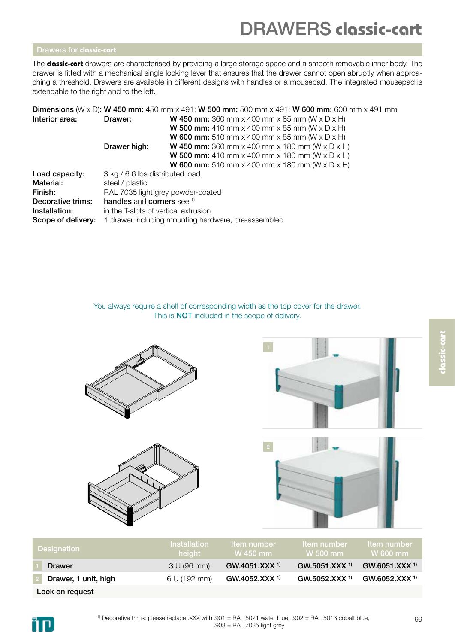## DRAWERS **classic-cart**

The **classic-cart** drawers are characterised by providing a large storage space and a smooth removable inner body. The drawer is fitted with a mechanical single locking lever that ensures that the drawer cannot open abruptly when approaching a threshold. Drawers are available in different designs with handles or a mousepad. The integrated mousepad is extendable to the right and to the left.

|                    |                                                     | <b>Dimensions</b> (W x D): W 450 mm: 450 mm x 491; W 500 mm: 500 mm x 491; W 600 mm: 600 mm x 491 mm |  |
|--------------------|-----------------------------------------------------|------------------------------------------------------------------------------------------------------|--|
| Interior area:     | Drawer:                                             | <b>W 450 mm:</b> 360 mm x 400 mm x 85 mm (W x D x H)                                                 |  |
|                    |                                                     | <b>W 500 mm:</b> 410 mm x 400 mm x 85 mm (W x D x H)                                                 |  |
|                    |                                                     | <b>W 600 mm:</b> 510 mm x 400 mm x 85 mm (W x D x H)                                                 |  |
|                    | Drawer high:                                        | <b>W 450 mm:</b> 360 mm x 400 mm x 180 mm (W x D x H)                                                |  |
|                    |                                                     | <b>W 500 mm:</b> 410 mm x 400 mm x 180 mm (W x D x H)                                                |  |
|                    |                                                     | <b>W 600 mm:</b> 510 mm x 400 mm x 180 mm (W x D x H)                                                |  |
| Load capacity:     | 3 kg / 6.6 lbs distributed load                     |                                                                                                      |  |
| Material:          | steel / plastic                                     |                                                                                                      |  |
| Finish:            | RAL 7035 light grey powder-coated                   |                                                                                                      |  |
| Decorative trims:  | handles and corners see 1)                          |                                                                                                      |  |
| Installation:      | in the T-slots of vertical extrusion                |                                                                                                      |  |
| Scope of delivery: | 1 drawer including mounting hardware, pre-assembled |                                                                                                      |  |
|                    |                                                     |                                                                                                      |  |

You always require a shelf of corresponding width as the top cover for the drawer. This is NOT included in the scope of delivery.







| <b>Designation</b>   | <b>Installation</b><br>height | <b>Item number</b><br>W 450 mm | ا Item number<br>$W$ 500 mm | tem number<br>$W$ 600 mm    |
|----------------------|-------------------------------|--------------------------------|-----------------------------|-----------------------------|
| <b>Drawer</b>        | 3 U (96 mm)                   | GW.4051.XXX <sup>1)</sup>      | GW.5051.XXX <sup>1)</sup>   | $GW.6051.XXX$ <sup>1)</sup> |
| Drawer, 1 unit, high | 6 U (192 mm)                  | $GW.4052.XXX$ <sup>1)</sup>    | GW.5052.XXX <sup>1)</sup>   | $GW.6052.XXX$ <sup>1)</sup> |
| Lock on request      |                               |                                |                             |                             |

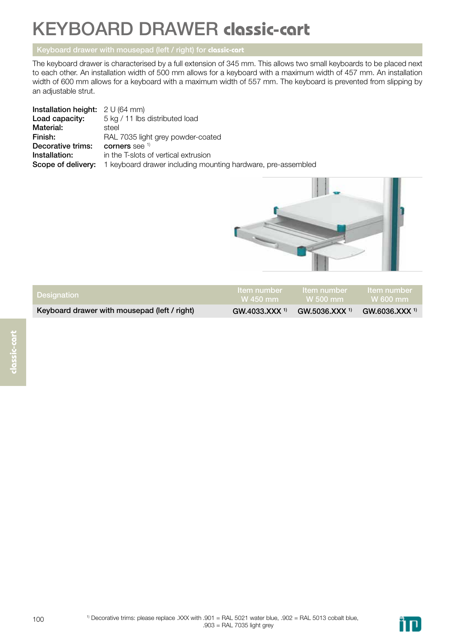## KEYBOARD DRAWER **classic-cart**

## Keyboard drawer with mousepad (left / right) for **classic-cart**

The keyboard drawer is characterised by a full extension of 345 mm. This allows two small keyboards to be placed next to each other. An installation width of 500 mm allows for a keyboard with a maximum width of 457 mm. An installation width of 600 mm allows for a keyboard with a maximum width of 557 mm. The keyboard is prevented from slipping by an adjustable strut.

| <b>Installation height:</b> $2 \cup (64 \text{ mm})$ |                                                                                        |
|------------------------------------------------------|----------------------------------------------------------------------------------------|
| Load capacity:                                       | 5 kg / 11 lbs distributed load                                                         |
| Material:                                            | steel                                                                                  |
| Finish:                                              | RAL 7035 light grey powder-coated                                                      |
| Decorative trims:                                    | corners see $1$                                                                        |
| Installation:                                        | in the T-slots of vertical extrusion                                                   |
|                                                      | <b>Scope of delivery:</b> 1 keyboard drawer including mounting hardware, pre-assembled |



| <b>Designation</b>                           | tem number tem number tem number<br>W 450 mm W 500 mm W 600 mm                  |  |
|----------------------------------------------|---------------------------------------------------------------------------------|--|
| Keyboard drawer with mousepad (left / right) | $GW.4033.XXX$ <sup>1)</sup> GW.5036.XXX <sup>1)</sup> GW.6036.XXX <sup>1)</sup> |  |